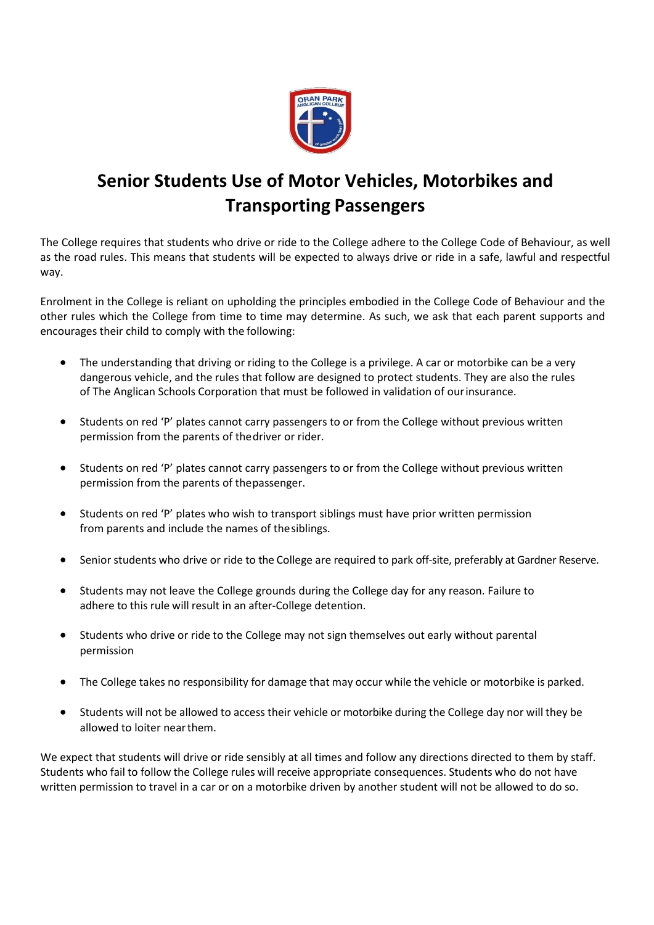

# **Senior Students Use of Motor Vehicles, Motorbikes and Transporting Passengers**

The College requires that students who drive or ride to the College adhere to the College Code of Behaviour, as well as the road rules. This means that students will be expected to always drive or ride in a safe, lawful and respectful way.

Enrolment in the College is reliant on upholding the principles embodied in the College Code of Behaviour and the other rules which the College from time to time may determine. As such, we ask that each parent supports and encourages their child to comply with the following:

- The understanding that driving or riding to the College is a privilege. A car or motorbike can be a very dangerous vehicle, and the rules that follow are designed to protect students. They are also the rules of The Anglican Schools Corporation that must be followed in validation of ourinsurance.
- Students on red 'P' plates cannot carry passengers to or from the College without previous written permission from the parents of thedriver or rider.
- Students on red 'P' plates cannot carry passengers to or from the College without previous written permission from the parents of thepassenger.
- Students on red 'P' plates who wish to transport siblings must have prior written permission from parents and include the names of thesiblings.
- Senior students who drive or ride to the College are required to park off-site, preferably at Gardner Reserve.
- Students may not leave the College grounds during the College day for any reason. Failure to adhere to this rule will result in an after-College detention.
- Students who drive or ride to the College may not sign themselves out early without parental permission
- The College takes no responsibility for damage that may occur while the vehicle or motorbike is parked.
- Students will not be allowed to access their vehicle or motorbike during the College day nor will they be allowed to loiter nearthem.

We expect that students will drive or ride sensibly at all times and follow any directions directed to them by staff. Students who fail to follow the College rules will receive appropriate consequences. Students who do not have written permission to travel in a car or on a motorbike driven by another student will not be allowed to do so.